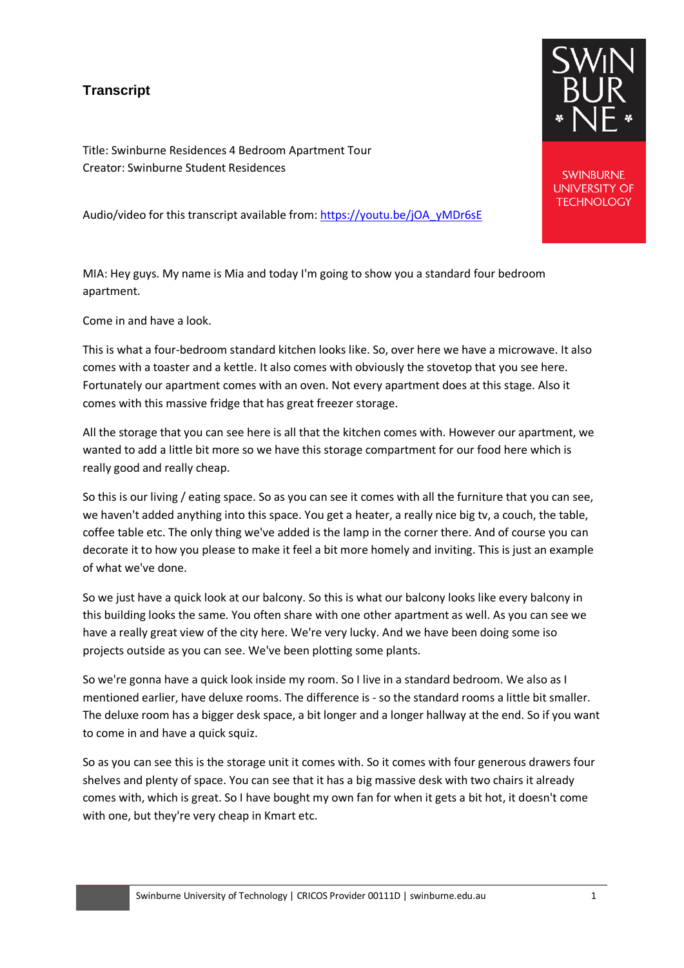## **Transcript**

Title: Swinburne Residences 4 Bedroom Apartment Tour Creator: Swinburne Student Residences

Audio/video for this transcript available from: [https://youtu.be/jOA\\_yMDr6sE](https://youtu.be/jOA_yMDr6sE)

MIA: Hey guys. My name is Mia and today I'm going to show you a standard four bedroom apartment.

Come in and have a look.

This is what a four-bedroom standard kitchen looks like. So, over here we have a microwave. It also comes with a toaster and a kettle. It also comes with obviously the stovetop that you see here. Fortunately our apartment comes with an oven. Not every apartment does at this stage. Also it comes with this massive fridge that has great freezer storage.

All the storage that you can see here is all that the kitchen comes with. However our apartment, we wanted to add a little bit more so we have this storage compartment for our food here which is really good and really cheap.

So this is our living / eating space. So as you can see it comes with all the furniture that you can see, we haven't added anything into this space. You get a heater, a really nice big tv, a couch, the table, coffee table etc. The only thing we've added is the lamp in the corner there. And of course you can decorate it to how you please to make it feel a bit more homely and inviting. This is just an example of what we've done.

So we just have a quick look at our balcony. So this is what our balcony looks like every balcony in this building looks the same. You often share with one other apartment as well. As you can see we have a really great view of the city here. We're very lucky. And we have been doing some iso projects outside as you can see. We've been plotting some plants.

So we're gonna have a quick look inside my room. So I live in a standard bedroom. We also as I mentioned earlier, have deluxe rooms. The difference is - so the standard rooms a little bit smaller. The deluxe room has a bigger desk space, a bit longer and a longer hallway at the end. So if you want to come in and have a quick squiz.

So as you can see this is the storage unit it comes with. So it comes with four generous drawers four shelves and plenty of space. You can see that it has a big massive desk with two chairs it already comes with, which is great. So I have bought my own fan for when it gets a bit hot, it doesn't come with one, but they're very cheap in Kmart etc.



**SWINBURNE UNIVERSITY OF TECHNOLOGY**